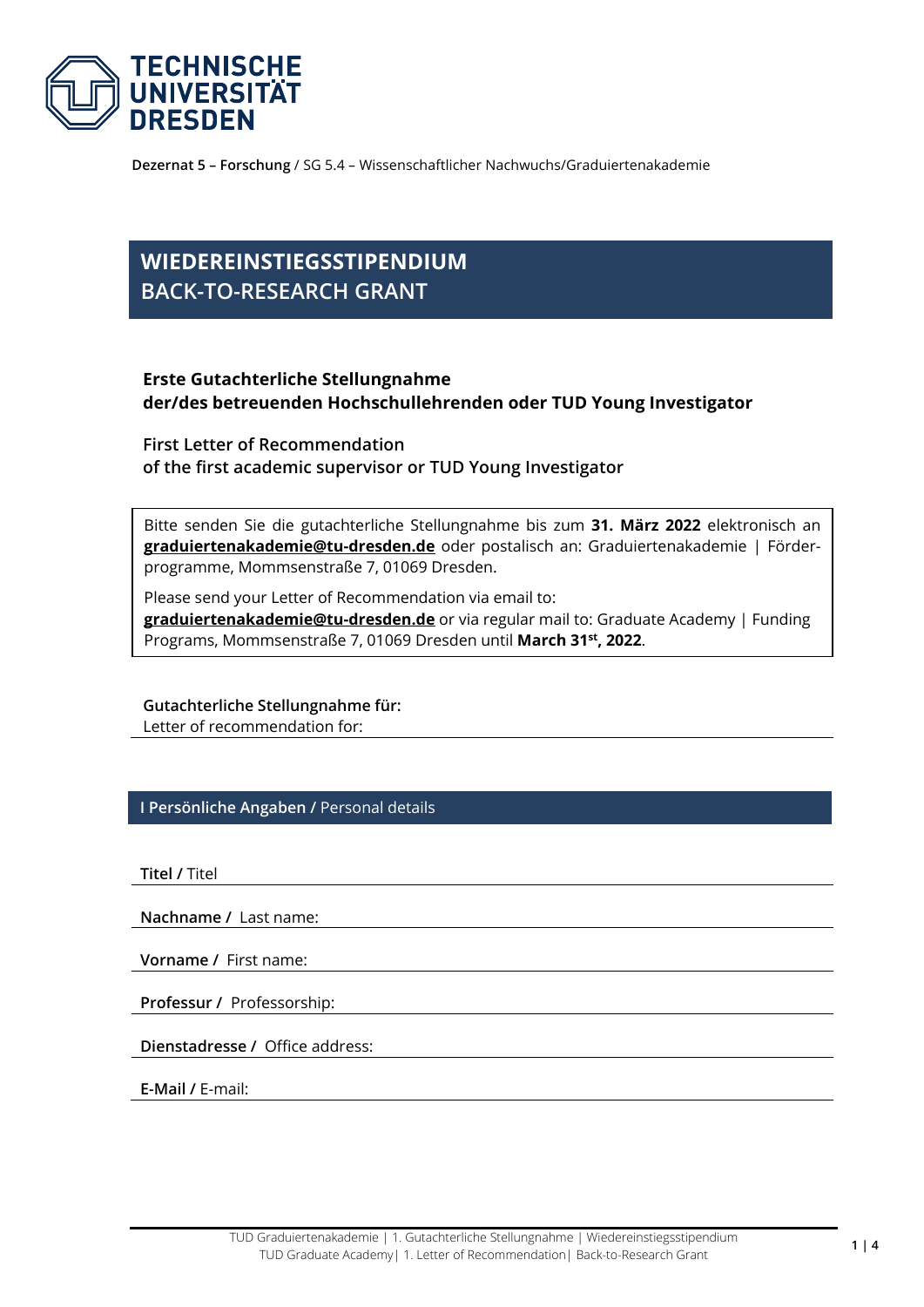

**Dezernat 5 – Forschung** / SG 5.4 – Wissenschaftlicher Nachwuchs/Graduiertenakademie

## **WIEDEREINSTIEGSSTIPENDIUM BACK-TO-RESEARCH GRANT**

## **Erste Gutachterliche Stellungnahme der/des betreuenden Hochschullehrenden oder TUD Young Investigator**

**First Letter of Recommendation of the first academic supervisor or TUD Young Investigator**

Bitte senden Sie die gutachterliche Stellungnahme bis zum **31. März 2022** elektronisch an **[graduiertenakademie@tu-dresden.de](mailto:graduiertenakademie@tu-dresden.de)** oder postalisch an: Graduiertenakademie | Förderprogramme, Mommsenstraße 7, 01069 Dresden.

Please send your Letter of Recommendation via email to: **[graduiertenakademie@tu-dresden.de](mailto:graduiertenakademie@tu-dresden.de)** or via regular mail to: Graduate Academy | Funding Programs, Mommsenstraße 7, 01069 Dresden until **March 31st, 2022**.

**Gutachterliche Stellungnahme für:** Letter of recommendation for:

**I Persönliche Angaben /** Personal details

**Titel /** Titel

**Nachname /** Last name:

**Vorname /** First name:

**Professur /** Professorship:

**Dienstadresse /** Office address:

**E-Mail /** E-mail: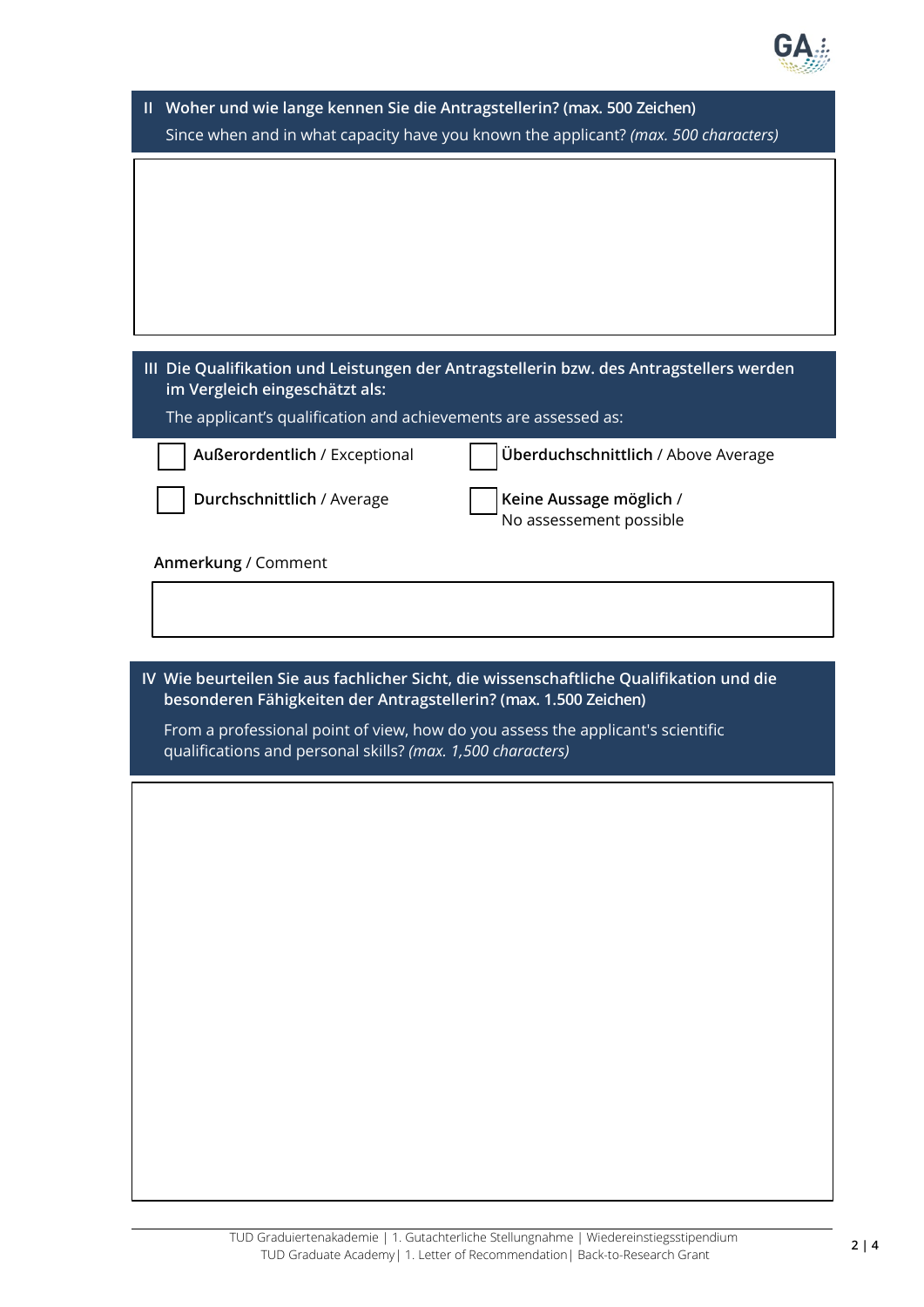

| II Woher und wie lange kennen Sie die Antragstellerin? (max. 500 Zeichen)<br>Since when and in what capacity have you known the applicant? (max. 500 characters) |                                                                                         |  |  |
|------------------------------------------------------------------------------------------------------------------------------------------------------------------|-----------------------------------------------------------------------------------------|--|--|
|                                                                                                                                                                  |                                                                                         |  |  |
|                                                                                                                                                                  |                                                                                         |  |  |
|                                                                                                                                                                  |                                                                                         |  |  |
| im Vergleich eingeschätzt als:<br>The applicant's qualification and achievements are assessed as:                                                                | III Die Qualifikation und Leistungen der Antragstellerin bzw. des Antragstellers werden |  |  |
| Außerordentlich / Exceptional                                                                                                                                    | Überduchschnittlich / Above Average                                                     |  |  |
| Durchschnittlich / Average                                                                                                                                       | Keine Aussage möglich /<br>No assessement possible                                      |  |  |
| Anmerkung / Comment                                                                                                                                              |                                                                                         |  |  |
|                                                                                                                                                                  | IV Wie beurteilen Sie aus fachlicher Sicht, die wissenschaftliche Qualifikation und die |  |  |
| From a professional point of view, how do you assess the applicant's scientific<br>qualifications and personal skills? (max. 1,500 characters)                   |                                                                                         |  |  |
|                                                                                                                                                                  |                                                                                         |  |  |
|                                                                                                                                                                  |                                                                                         |  |  |
|                                                                                                                                                                  |                                                                                         |  |  |
|                                                                                                                                                                  |                                                                                         |  |  |
|                                                                                                                                                                  |                                                                                         |  |  |
|                                                                                                                                                                  |                                                                                         |  |  |
|                                                                                                                                                                  |                                                                                         |  |  |
|                                                                                                                                                                  |                                                                                         |  |  |
| besonderen Fähigkeiten der Antragstellerin? (max. 1.500 Zeichen)                                                                                                 |                                                                                         |  |  |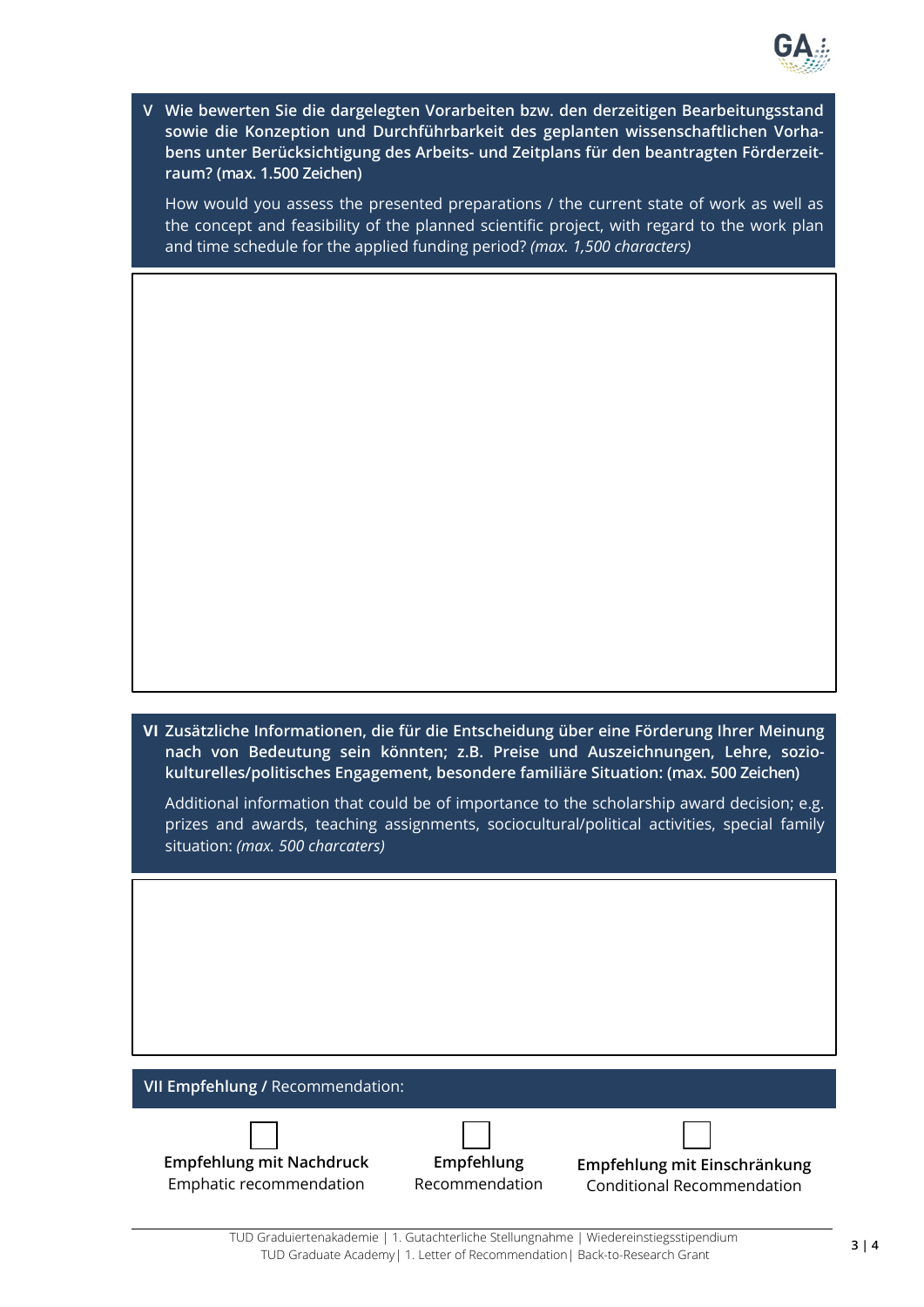

**V Wie bewerten Sie die dargelegten Vorarbeiten bzw. den derzeitigen Bearbeitungsstand sowie die Konzeption und Durchführbarkeit des geplanten wissenschaftlichen Vorhabens unter Berücksichtigung des Arbeits- und Zeitplans für den beantragten Förderzeitraum? (max. 1.500 Zeichen)**

How would you assess the presented preparations / the current state of work as well as the concept and feasibility of the planned scientific project, with regard to the work plan and time schedule for the applied funding period? *(max. 1,500 characters)*

**VI Zusätzliche Informationen, die für die Entscheidung über eine Förderung Ihrer Meinung nach von Bedeutung sein könnten; z.B. Preise und Auszeichnungen, Lehre, soziokulturelles/politisches Engagement, besondere familiäre Situation: (max. 500 Zeichen)**

Additional information that could be of importance to the scholarship award decision; e.g. prizes and awards, teaching assignments, sociocultural/political activities, special family situation: *(max. 500 charcaters)*

| VII Empfehlung / Recommendation:                           |                              |                                                                   |
|------------------------------------------------------------|------------------------------|-------------------------------------------------------------------|
| <b>Empfehlung mit Nachdruck</b><br>Emphatic recommendation | Empfehlung<br>Recommendation | Empfehlung mit Einschränkung<br><b>Conditional Recommendation</b> |